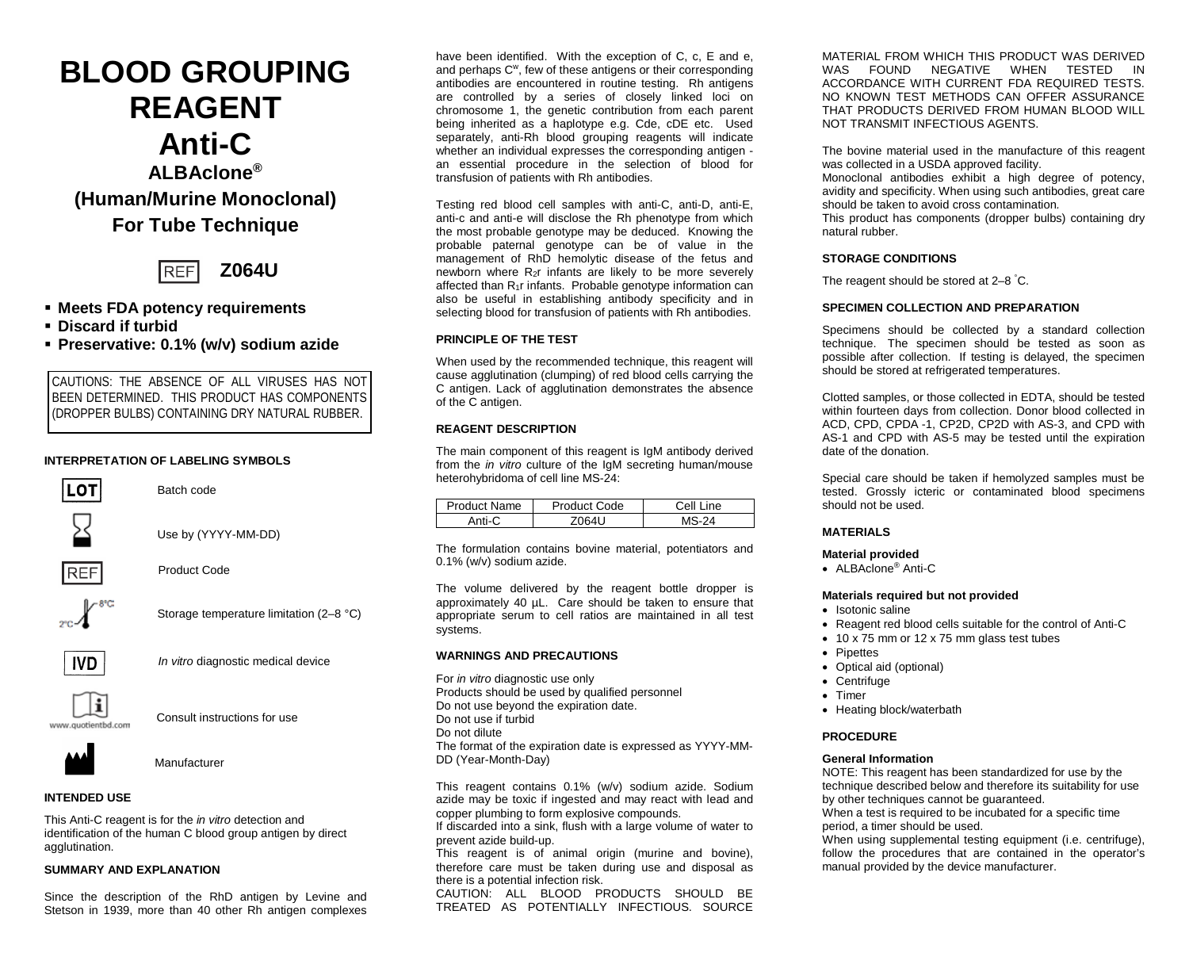# **BLOOD GROUPING REAGENT Anti-C ALBAclone® (Human/Murine Monoclonal) For Tube Technique**



# **Meets FDA potency requirements**

- **Discard if turbid**
- **Preservative: 0.1% (w/v) sodium azide**

CAUTIONS: THE ABSENCE OF ALL VIRUSES HAS NOT BEEN DETERMINED. THIS PRODUCT HAS COMPONENTS (DROPPER BULBS) CONTAINING DRY NATURAL RUBBER.

## **INTERPRETATION OF LABELING SYMBOLS**



Batch code



Use by (YYYY-MM-DD)



Product Code



Storage temperature limitation (2–8 °C)



*In vitro* diagnostic medical device



Consult instructions for use



Manufacturer

# **INTENDED USE**

This Anti-C reagent is for the *in vitro* detection and identification of the human C blood group antigen by direct agglutination.

#### **SUMMARY AND EXPLANATION**

Since the description of the RhD antigen by Levine and Stetson in 1939, more than 40 other Rh antigen complexes have been identified. With the exception of C, c, E and e, and perhaps C<sup>w</sup>, few of these antigens or their corresponding antibodies are encountered in routine testing. Rh antigens are controlled by a series of closely linked loci on chromosome 1, the genetic contribution from each parent being inherited as a haplotype e.g. Cde, cDE etc. Used separately, anti-Rh blood grouping reagents will indicate whether an individual expresses the corresponding antigen an essential procedure in the selection of blood for transfusion of patients with Rh antibodies.

Testing red blood cell samples with anti-C, anti-D, anti-E, anti-c and anti-e will disclose the Rh phenotype from which the most probable genotype may be deduced. Knowing the probable paternal genotype can be of value in the management of RhD hemolytic disease of the fetus and newborn where R<sub>2</sub>r infants are likely to be more severely affected than R<sub>1</sub>r infants. Probable genotype information can also be useful in establishing antibody specificity and in selecting blood for transfusion of patients with Rh antibodies.

## **PRINCIPLE OF THE TEST**

When used by the recommended technique, this reagent will cause agglutination (clumping) of red blood cells carrying the C antigen. Lack of agglutination demonstrates the absence of the C antigen.

## **REAGENT DESCRIPTION**

The main component of this reagent is IgM antibody derived from the *in vitro* culture of the IgM secreting human/mouse heterohybridoma of cell line MS-24:

| Product Name | Product Code | Cell Line |
|--------------|--------------|-----------|
| Anti-        | <b>OG11</b>  |           |

The formulation contains bovine material, potentiators and 0.1% (w/v) sodium azide.

The volume delivered by the reagent bottle dropper is approximately 40 µL. Care should be taken to ensure that appropriate serum to cell ratios are maintained in all test systems.

#### **WARNINGS AND PRECAUTIONS**

For *in vitro* diagnostic use only Products should be used by qualified personnel Do not use beyond the expiration date. Do not use if turbid Do not dilute The format of the expiration date is expressed as YYYY-MM-DD (Year-Month-Day)

This reagent contains 0.1% (w/v) sodium azide. Sodium azide may be toxic if ingested and may react with lead and copper plumbing to form explosive compounds.

If discarded into a sink, flush with a large volume of water to prevent azide build-up.

This reagent is of animal origin (murine and bovine), therefore care must be taken during use and disposal as there is a potential infection risk.

CAUTION: ALL BLOOD PRODUCTS SHOULD BE TREATED AS POTENTIALLY INFECTIOUS. SOURCE MATERIAL FROM WHICH THIS PRODUCT WAS DERIVED WAS FOUND NEGATIVE WHEN TESTED ACCORDANCE WITH CURRENT FDA REQUIRED TESTS. NO KNOWN TEST METHODS CAN OFFER ASSURANCE THAT PRODUCTS DERIVED FROM HUMAN BLOOD WILL NOT TRANSMIT INFECTIOUS AGENTS.

The bovine material used in the manufacture of this reagent was collected in a USDA approved facility. Monoclonal antibodies exhibit a high degree of potency,

avidity and specificity. When using such antibodies, great care should be taken to avoid cross contamination*.*

This product has components (dropper bulbs) containing dry natural rubber.

## **STORAGE CONDITIONS**

The reagent should be stored at 2–8 ° C.

## **SPECIMEN COLLECTION AND PREPARATION**

Specimens should be collected by a standard collection technique. The specimen should be tested as soon as possible after collection. If testing is delayed, the specimen should be stored at refrigerated temperatures.

Clotted samples, or those collected in EDTA, should be tested within fourteen days from collection. Donor blood collected in ACD, CPD, CPDA -1, CP2D, CP2D with AS-3, and CPD with AS-1 and CPD with AS-5 may be tested until the expiration date of the donation.

Special care should be taken if hemolyzed samples must be tested. Grossly icteric or contaminated blood specimens should not be used.

## **MATERIALS**

#### **Material provided**

• ALBAclone<sup>®</sup> Anti-C

#### **Materials required but not provided**

- Isotonic saline
- Reagent red blood cells suitable for the control of Anti-C
- 10 x 75 mm or 12 x 75 mm glass test tubes
- Pipettes
- Optical aid (optional)
- Centrifuge
- Timer
- Heating block/waterbath

## **PROCEDURE**

## **General Information**

NOTE: This reagent has been standardized for use by the technique described below and therefore its suitability for use by other techniques cannot be guaranteed.

When a test is required to be incubated for a specific time period, a timer should be used.

When using supplemental testing equipment (i.e. centrifuge), follow the procedures that are contained in the operator's manual provided by the device manufacturer.